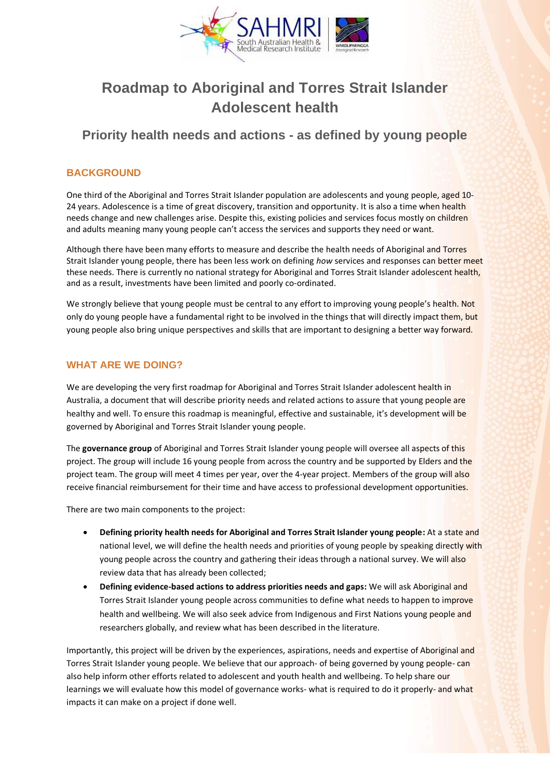

# **Roadmap to Aboriginal and Torres Strait Islander Adolescent health**

# **Priority health needs and actions - as defined by young people**

#### **BACKGROUND**

One third of the Aboriginal and Torres Strait Islander population are adolescents and young people, aged 10- 24 years. Adolescence is a time of great discovery, transition and opportunity. It is also a time when health needs change and new challenges arise. Despite this, existing policies and services focus mostly on children and adults meaning many young people can't access the services and supports they need or want.

Although there have been many efforts to measure and describe the health needs of Aboriginal and Torres Strait Islander young people, there has been less work on defining *how* services and responses can better meet these needs. There is currently no national strategy for Aboriginal and Torres Strait Islander adolescent health, and as a result, investments have been limited and poorly co-ordinated.

We strongly believe that young people must be central to any effort to improving young people's health. Not only do young people have a fundamental right to be involved in the things that will directly impact them, but young people also bring unique perspectives and skills that are important to designing a better way forward.

#### **WHAT ARE WE DOING?**

We are developing the very first roadmap for Aboriginal and Torres Strait Islander adolescent health in Australia, a document that will describe priority needs and related actions to assure that young people are healthy and well. To ensure this roadmap is meaningful, effective and sustainable, it's development will be governed by Aboriginal and Torres Strait Islander young people.

The **governance group** of Aboriginal and Torres Strait Islander young people will oversee all aspects of this project. The group will include 16 young people from across the country and be supported by Elders and the project team. The group will meet 4 times per year, over the 4-year project. Members of the group will also receive financial reimbursement for their time and have access to professional development opportunities.

There are two main components to the project:

- **Defining priority health needs for Aboriginal and Torres Strait Islander young people:** At a state and national level, we will define the health needs and priorities of young people by speaking directly with young people across the country and gathering their ideas through a national survey. We will also review data that has already been collected;
- **Defining evidence-based actions to address priorities needs and gaps:** We will ask Aboriginal and Torres Strait Islander young people across communities to define what needs to happen to improve health and wellbeing. We will also seek advice from Indigenous and First Nations young people and researchers globally, and review what has been described in the literature.

Importantly, this project will be driven by the experiences, aspirations, needs and expertise of Aboriginal and Torres Strait Islander young people. We believe that our approach- of being governed by young people- can also help inform other efforts related to adolescent and youth health and wellbeing. To help share our learnings we will evaluate how this model of governance works- what is required to do it properly- and what impacts it can make on a project if done well.